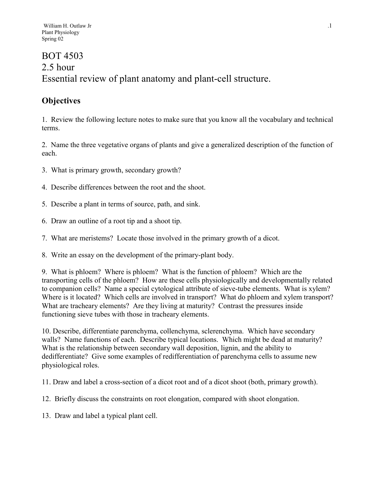# BOT 4503 2.5 hour Essential review of plant anatomy and plant-cell structure.

# **Objectives**

1. Review the following lecture notes to make sure that you know all the vocabulary and technical terms.

2. Name the three vegetative organs of plants and give a generalized description of the function of each.

- 3. What is primary growth, secondary growth?
- 4. Describe differences between the root and the shoot.
- 5. Describe a plant in terms of source, path, and sink.
- 6. Draw an outline of a root tip and a shoot tip.
- 7. What are meristems? Locate those involved in the primary growth of a dicot.
- 8. Write an essay on the development of the primary-plant body.

9. What is phloem? Where is phloem? What is the function of phloem? Which are the transporting cells of the phloem? How are these cells physiologically and developmentally related to companion cells? Name a special cytological attribute of sieve-tube elements. What is xylem? Where is it located? Which cells are involved in transport? What do phloem and xylem transport? What are tracheary elements? Are they living at maturity? Contrast the pressures inside functioning sieve tubes with those in tracheary elements.

10. Describe, differentiate parenchyma, collenchyma, sclerenchyma. Which have secondary walls? Name functions of each. Describe typical locations. Which might be dead at maturity? What is the relationship between secondary wall deposition, lignin, and the ability to dedifferentiate? Give some examples of redifferentiation of parenchyma cells to assume new physiological roles.

11. Draw and label a cross-section of a dicot root and of a dicot shoot (both, primary growth).

- 12. Briefly discuss the constraints on root elongation, compared with shoot elongation.
- 13. Draw and label a typical plant cell.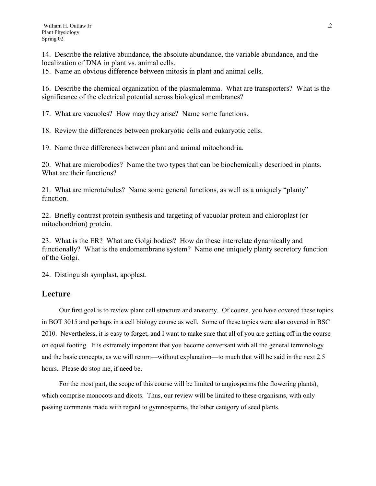14. Describe the relative abundance, the absolute abundance, the variable abundance, and the localization of DNA in plant vs. animal cells.

15. Name an obvious difference between mitosis in plant and animal cells.

16. Describe the chemical organization of the plasmalemma. What are transporters? What is the significance of the electrical potential across biological membranes?

17. What are vacuoles? How may they arise? Name some functions.

18. Review the differences between prokaryotic cells and eukaryotic cells.

19. Name three differences between plant and animal mitochondria.

20. What are microbodies? Name the two types that can be biochemically described in plants. What are their functions?

21. What are microtubules? Name some general functions, as well as a uniquely "planty" function.

22. Briefly contrast protein synthesis and targeting of vacuolar protein and chloroplast (or mitochondrion) protein.

23. What is the ER? What are Golgi bodies? How do these interrelate dynamically and functionally? What is the endomembrane system? Name one uniquely planty secretory function of the Golgi.

24. Distinguish symplast, apoplast.

#### **Lecture**

Our first goal is to review plant cell structure and anatomy. Of course, you have covered these topics in BOT 3015 and perhaps in a cell biology course as well. Some of these topics were also covered in BSC 2010. Nevertheless, it is easy to forget, and I want to make sure that all of you are getting off in the course on equal footing. It is extremely important that you become conversant with all the general terminology and the basic concepts, as we will return—without explanation—to much that will be said in the next 2.5 hours. Please do stop me, if need be.

For the most part, the scope of this course will be limited to angiosperms (the flowering plants), which comprise monocots and dicots. Thus, our review will be limited to these organisms, with only passing comments made with regard to gymnosperms, the other category of seed plants.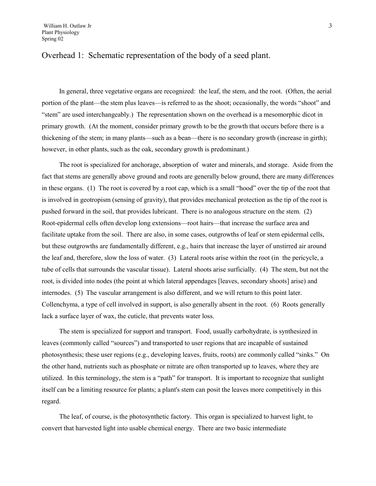## Overhead 1: Schematic representation of the body of a seed plant.

In general, three vegetative organs are recognized: the leaf, the stem, and the root. (Often, the aerial portion of the plant—the stem plus leaves—is referred to as the shoot; occasionally, the words "shoot" and "stem" are used interchangeably.) The representation shown on the overhead is a mesomorphic dicot in primary growth. (At the moment, consider primary growth to be the growth that occurs before there is a thickening of the stem; in many plants—such as a bean—there is no secondary growth (increase in girth); however, in other plants, such as the oak, secondary growth is predominant.)

The root is specialized for anchorage, absorption of water and minerals, and storage. Aside from the fact that stems are generally above ground and roots are generally below ground, there are many differences in these organs. (1) The root is covered by a root cap, which is a small "hood" over the tip of the root that is involved in geotropism (sensing of gravity), that provides mechanical protection as the tip of the root is pushed forward in the soil, that provides lubricant. There is no analogous structure on the stem. (2) Root-epidermal cells often develop long extensions—root hairs—that increase the surface area and facilitate uptake from the soil. There are also, in some cases, outgrowths of leaf or stem epidermal cells, but these outgrowths are fundamentally different, e.g., hairs that increase the layer of unstirred air around the leaf and, therefore, slow the loss of water. (3) Lateral roots arise within the root (in the pericycle, a tube of cells that surrounds the vascular tissue). Lateral shoots arise surficially. (4) The stem, but not the root, is divided into nodes (the point at which lateral appendages [leaves, secondary shoots] arise) and internodes. (5) The vascular arrangement is also different, and we will return to this point later. Collenchyma, a type of cell involved in support, is also generally absent in the root. (6) Roots generally lack a surface layer of wax, the cuticle, that prevents water loss.

The stem is specialized for support and transport. Food, usually carbohydrate, is synthesized in leaves (commonly called "sources") and transported to user regions that are incapable of sustained photosynthesis; these user regions (e.g., developing leaves, fruits, roots) are commonly called "sinks." On the other hand, nutrients such as phosphate or nitrate are often transported up to leaves, where they are utilized. In this terminology, the stem is a "path" for transport. It is important to recognize that sunlight itself can be a limiting resource for plants; a plant's stem can posit the leaves more competitively in this regard.

The leaf, of course, is the photosynthetic factory. This organ is specialized to harvest light, to convert that harvested light into usable chemical energy. There are two basic intermediate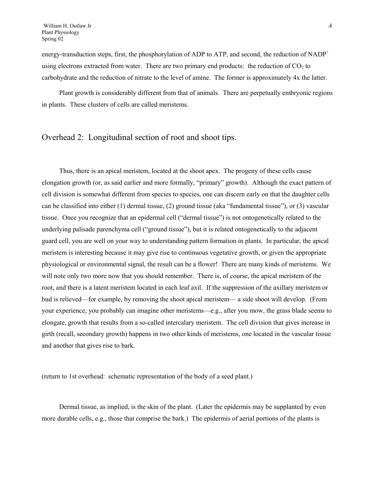energy-transduction steps, first, the phosphorylation of ADP to ATP, and second, the reduction of NADP<sup>+</sup> using electrons extracted from water. There are two primary end products: the reduction of  $CO<sub>2</sub>$  to carbohydrate and the reduction of nitrate to the level of amine. The former is approximately 4x the latter.

Plant growth is considerably different from that of animals. There are perpetually embryonic regions in plants. These clusters of cells are called meristems.

## Overhead 2: Longitudinal section of root and shoot tips.

Thus, there is an apical meristem, located at the shoot apex. The progeny of these cells cause elongation growth (or, as said earlier and more formally, "primary" growth). Although the exact pattern of cell division is somewhat different from species to species, one can discern early on that the daughter cells can be classified into either (1) dermal tissue, (2) ground tissue (aka "fundamental tissue"), or (3) vascular tissue. Once you recognize that an epidermal cell ("dermal tissue") is not ontogenetically related to the underlying palisade parenchyma cell ("ground tissue"), but it is related ontogenetically to the adjacent guard cell, you are well on your way to understanding pattern formation in plants. In particular, the apical meristem is interesting because it may give rise to continuous vegetative growth, or given the appropriate physiological or environmental signal, the result can be a flower! There are many kinds of meristems. We will note only two more now that you should remember. There is, of course, the apical meristem of the root, and there is a latent meristem located in each leaf axil. If the suppression of the axillary meristem or bud is relieved—for example, by removing the shoot apical meristem— a side shoot will develop. (From your experience, you probably can imagine other meristems—e.g., after you mow, the grass blade seems to elongate, growth that results from a so-called intercalary meristem. The cell division that gives increase in girth (recall, secondary growth) happens in two other kinds of meristems, one located in the vascular tissue and another that gives rise to bark.

(return to 1st overhead: schematic representation of the body of a seed plant.)

Dermal tissue, as implied, is the skin of the plant. (Later the epidermis may be supplanted by even more durable cells, e.g., those that comprise the bark.) The epidermis of aerial portions of the plants is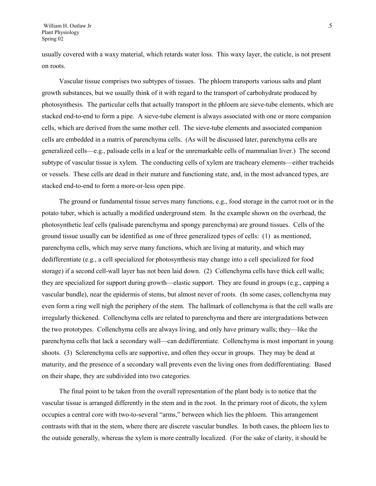usually covered with a waxy material, which retards water loss. This waxy layer, the cuticle, is not present on roots.

Vascular tissue comprises two subtypes of tissues. The phloem transports various salts and plant growth substances, but we usually think of it with regard to the transport of carbohydrate produced by photosynthesis. The particular cells that actually transport in the phloem are sieve-tube elements, which are stacked end-to-end to form a pipe. A sieve-tube element is always associated with one or more companion cells, which are derived from the same mother cell. The sieve-tube elements and associated companion cells are embedded in a matrix of parenchyma cells. (As will be discussed later, parenchyma cells are generalized cells—e.g., palisade cells in a leaf or the unremarkable cells of mammalian liver.) The second subtype of vascular tissue is xylem. The conducting cells of xylem are tracheary elements—either tracheids or vessels. These cells are dead in their mature and functioning state, and, in the most advanced types, are stacked end-to-end to form a more-or-less open pipe.

The ground or fundamental tissue serves many functions, e.g., food storage in the carrot root or in the potato tuber, which is actually a modified underground stem. In the example shown on the overhead, the photosynthetic leaf cells (palisade parenchyma and spongy parenchyma) are ground tissues. Cells of the ground tissue usually can be identified as one of three generalized types of cells: (1) as mentioned, parenchyma cells, which may serve many functions, which are living at maturity, and which may dedifferentiate (e.g., a cell specialized for photosynthesis may change into a cell specialized for food storage) if a second cell-wall layer has not been laid down. (2) Collenchyma cells have thick cell walls; they are specialized for support during growth—elastic support. They are found in groups (e.g., capping a vascular bundle), near the epidermis of stems, but almost never of roots. (In some cases, collenchyma may even form a ring well nigh the periphery of the stem. The hallmark of collenchyma is that the cell walls are irregularly thickened. Collenchyma cells are related to parenchyma and there are intergradations between the two prototypes. Collenchyma cells are always living, and only have primary walls; they—like the parenchyma cells that lack a secondary wall—can dedifferentiate. Collenchyma is most important in young shoots. (3) Sclerenchyma cells are supportive, and often they occur in groups. They may be dead at maturity, and the presence of a secondary wall prevents even the living ones from dedifferentiating. Based on their shape, they are subdivided into two categories.

The final point to be taken from the overall representation of the plant body is to notice that the vascular tissue is arranged differently in the stem and in the root. In the primary root of dicots, the xylem occupies a central core with two-to-several "arms," between which lies the phloem. This arrangement contrasts with that in the stem, where there are discrete vascular bundles. In both cases, the phloem lies to the outside generally, whereas the xylem is more centrally localized. (For the sake of clarity, it should be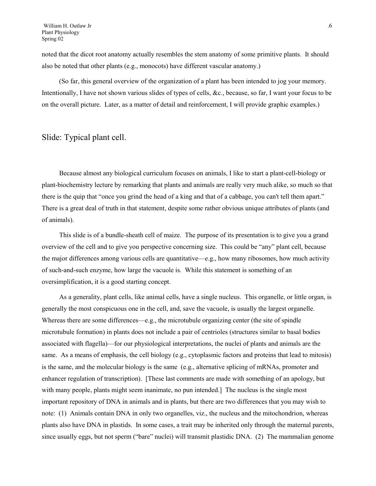noted that the dicot root anatomy actually resembles the stem anatomy of some primitive plants. It should also be noted that other plants (e.g., monocots) have different vascular anatomy.)

(So far, this general overview of the organization of a plant has been intended to jog your memory. Intentionally, I have not shown various slides of types of cells, &c., because, so far, I want your focus to be on the overall picture. Later, as a matter of detail and reinforcement, I will provide graphic examples.)

### Slide: Typical plant cell.

Because almost any biological curriculum focuses on animals, I like to start a plant-cell-biology or plant-biochemistry lecture by remarking that plants and animals are really very much alike, so much so that there is the quip that "once you grind the head of a king and that of a cabbage, you can't tell them apart." There is a great deal of truth in that statement, despite some rather obvious unique attributes of plants (and of animals).

This slide is of a bundle-sheath cell of maize. The purpose of its presentation is to give you a grand overview of the cell and to give you perspective concerning size. This could be "any" plant cell, because the major differences among various cells are quantitative—e.g., how many ribosomes, how much activity of such-and-such enzyme, how large the vacuole is. While this statement is something of an oversimplification, it is a good starting concept.

As a generality, plant cells, like animal cells, have a single nucleus. This organelle, or little organ, is generally the most conspicuous one in the cell, and, save the vacuole, is usually the largest organelle. Whereas there are some differences—e.g., the microtubule organizing center (the site of spindle microtubule formation) in plants does not include a pair of centrioles (structures similar to basal bodies associated with flagella)—for our physiological interpretations, the nuclei of plants and animals are the same. As a means of emphasis, the cell biology (e.g., cytoplasmic factors and proteins that lead to mitosis) is the same, and the molecular biology is the same (e.g., alternative splicing of mRNAs, promoter and enhancer regulation of transcription). [These last comments are made with something of an apology, but with many people, plants might seem inanimate, no pun intended. The nucleus is the single most important repository of DNA in animals and in plants, but there are two differences that you may wish to note: (1) Animals contain DNA in only two organelles, viz., the nucleus and the mitochondrion, whereas plants also have DNA in plastids. In some cases, a trait may be inherited only through the maternal parents, since usually eggs, but not sperm ("bare" nuclei) will transmit plastidic DNA. (2) The mammalian genome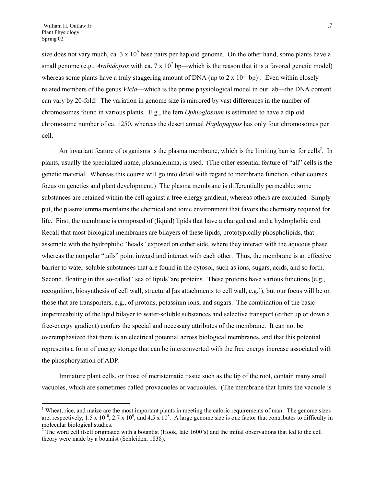$\overline{a}$ 

size does not vary much, ca.  $3 \times 10^9$  base pairs per haploid genome. On the other hand, some plants have a small genome (e.g., *Arabidopsis* with ca. 7 x  $10^7$  bp—which is the reason that it is a favored genetic model) whereas some plants have a truly staggering amount of DNA (up to 2 x  $10^{11}$  bp)<sup>1</sup>. Even within closely related members of the genus *Vicia*—which is the prime physiological model in our lab—the DNA content can vary by 20-fold! The variation in genome size is mirrored by vast differences in the number of chromosomes found in various plants. E.g., the fern *Ophioglossum* is estimated to have a diploid chromosome number of ca. 1250, whereas the desert annual *Haplopappus* has only four chromosomes per cell.

An invariant feature of organisms is the plasma membrane, which is the limiting barrier for cells<sup>2</sup>. In plants, usually the specialized name, plasmalemma, is used. (The other essential feature of "all" cells is the genetic material. Whereas this course will go into detail with regard to membrane function, other courses focus on genetics and plant development.) The plasma membrane is differentially permeable; some substances are retained within the cell against a free-energy gradient, whereas others are excluded. Simply put, the plasmalemma maintains the chemical and ionic environment that favors the chemistry required for life. First, the membrane is composed of (liquid) lipids that have a charged end and a hydrophobic end. Recall that most biological membranes are bilayers of these lipids, prototypically phospholipids, that assemble with the hydrophilic "heads" exposed on either side, where they interact with the aqueous phase whereas the nonpolar "tails" point inward and interact with each other. Thus, the membrane is an effective barrier to water-soluble substances that are found in the cytosol, such as ions, sugars, acids, and so forth. Second, floating in this so-called "sea of lipids" are proteins. These proteins have various functions (e.g., recognition, biosynthesis of cell wall, structural [as attachments to cell wall, e.g.]), but our focus will be on those that are transporters, e.g., of protons, potassium ions, and sugars. The combination of the basic impermeability of the lipid bilayer to water-soluble substances and selective transport (either up or down a free-energy gradient) confers the special and necessary attributes of the membrane. It can not be overemphasized that there is an electrical potential across biological membranes, and that this potential represents a form of energy storage that can be interconverted with the free energy increase associated with the phosphorylation of ADP.

Immature plant cells, or those of meristematic tissue such as the tip of the root, contain many small vacuoles, which are sometimes called provacuoles or vacuolules. (The membrane that limits the vacuole is

<span id="page-6-0"></span><sup>&</sup>lt;sup>1</sup> Wheat, rice, and maize are the most important plants in meeting the caloric requirements of man. The genome sizes are, respectively, 1.5 x 10<sup>10</sup>, 2.7 x 10<sup>9</sup>, and 4.5 x 10<sup>8</sup>. A large genome size is one factor that contributes to difficulty in molecular biological studies.

<span id="page-6-1"></span> $2^2$  The word cell itself originated with a botantist (Hook, late 1600's) and the initial observations that led to the cell theory were made by a botanist (Schleiden, 1838).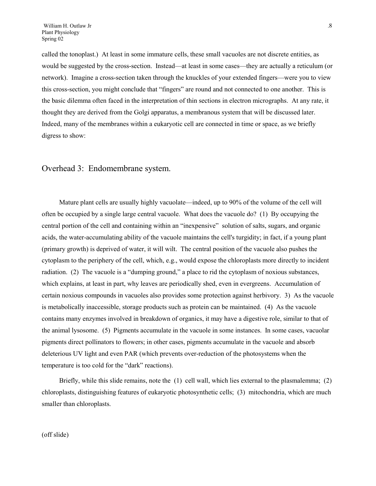called the tonoplast.) At least in some immature cells, these small vacuoles are not discrete entities, as would be suggested by the cross-section. Instead—at least in some cases—they are actually a reticulum (or network). Imagine a cross-section taken through the knuckles of your extended fingers—were you to view this cross-section, you might conclude that "fingers" are round and not connected to one another. This is the basic dilemma often faced in the interpretation of thin sections in electron micrographs. At any rate, it thought they are derived from the Golgi apparatus, a membranous system that will be discussed later. Indeed, many of the membranes within a eukaryotic cell are connected in time or space, as we briefly digress to show:

#### Overhead 3: Endomembrane system.

Mature plant cells are usually highly vacuolate—indeed, up to 90% of the volume of the cell will often be occupied by a single large central vacuole. What does the vacuole do? (1) By occupying the central portion of the cell and containing within an "inexpensive" solution of salts, sugars, and organic acids, the water-accumulating ability of the vacuole maintains the cell's turgidity; in fact, if a young plant (primary growth) is deprived of water, it will wilt. The central position of the vacuole also pushes the cytoplasm to the periphery of the cell, which, e.g., would expose the chloroplasts more directly to incident radiation. (2) The vacuole is a "dumping ground," a place to rid the cytoplasm of noxious substances, which explains, at least in part, why leaves are periodically shed, even in evergreens. Accumulation of certain noxious compounds in vacuoles also provides some protection against herbivory. 3) As the vacuole is metabolically inaccessible, storage products such as protein can be maintained. (4) As the vacuole contains many enzymes involved in breakdown of organics, it may have a digestive role, similar to that of the animal lysosome. (5) Pigments accumulate in the vacuole in some instances. In some cases, vacuolar pigments direct pollinators to flowers; in other cases, pigments accumulate in the vacuole and absorb deleterious UV light and even PAR (which prevents over-reduction of the photosystems when the temperature is too cold for the "dark" reactions).

Briefly, while this slide remains, note the (1) cell wall, which lies external to the plasmalemma; (2) chloroplasts, distinguishing features of eukaryotic photosynthetic cells; (3) mitochondria, which are much smaller than chloroplasts.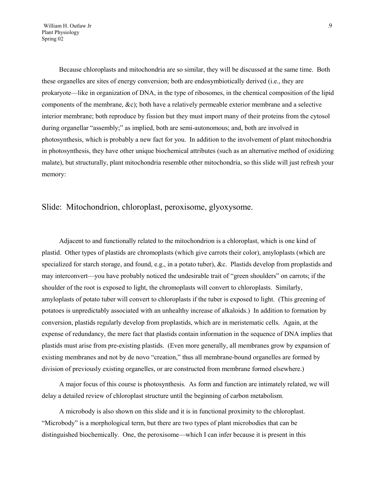William H. Outlaw Jr .9 Plant Physiology Spring 02

Because chloroplasts and mitochondria are so similar, they will be discussed at the same time. Both these organelles are sites of energy conversion; both are endosymbiotically derived (i.e., they are prokaryote—like in organization of DNA, in the type of ribosomes, in the chemical composition of the lipid components of the membrane, &c); both have a relatively permeable exterior membrane and a selective interior membrane; both reproduce by fission but they must import many of their proteins from the cytosol during organellar "assembly;" as implied, both are semi-autonomous; and, both are involved in photosynthesis, which is probably a new fact for you. In addition to the involvement of plant mitochondria in photosynthesis, they have other unique biochemical attributes (such as an alternative method of oxidizing malate), but structurally, plant mitochondria resemble other mitochondria, so this slide will just refresh your memory:

### Slide: Mitochondrion, chloroplast, peroxisome, glyoxysome.

Adjacent to and functionally related to the mitochondrion is a chloroplast, which is one kind of plastid. Other types of plastids are chromoplasts (which give carrots their color), amyloplasts (which are specialized for starch storage, and found, e.g., in a potato tuber), &c. Plastids develop from proplastids and may interconvert—you have probably noticed the undesirable trait of "green shoulders" on carrots; if the shoulder of the root is exposed to light, the chromoplasts will convert to chloroplasts. Similarly, amyloplasts of potato tuber will convert to chloroplasts if the tuber is exposed to light. (This greening of potatoes is unpredictably associated with an unhealthy increase of alkaloids.) In addition to formation by conversion, plastids regularly develop from proplastids, which are in meristematic cells. Again, at the expense of redundancy, the mere fact that plastids contain information in the sequence of DNA implies that plastids must arise from pre-existing plastids. (Even more generally, all membranes grow by expansion of existing membranes and not by de novo "creation," thus all membrane-bound organelles are formed by division of previously existing organelles, or are constructed from membrane formed elsewhere.)

A major focus of this course is photosynthesis. As form and function are intimately related, we will delay a detailed review of chloroplast structure until the beginning of carbon metabolism.

A microbody is also shown on this slide and it is in functional proximity to the chloroplast. "Microbody" is a morphological term, but there are two types of plant microbodies that can be distinguished biochemically. One, the peroxisome—which I can infer because it is present in this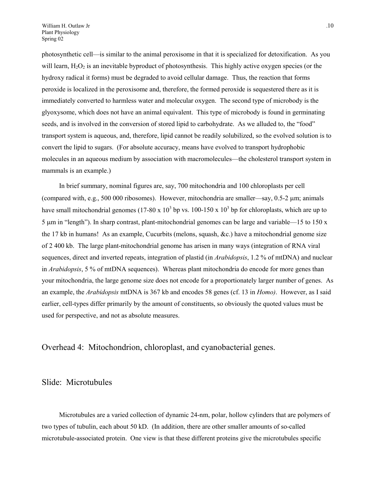photosynthetic cell—is similar to the animal peroxisome in that it is specialized for detoxification. As you will learn,  $H_2O_2$  is an inevitable byproduct of photosynthesis. This highly active oxygen species (or the hydroxy radical it forms) must be degraded to avoid cellular damage. Thus, the reaction that forms peroxide is localized in the peroxisome and, therefore, the formed peroxide is sequestered there as it is immediately converted to harmless water and molecular oxygen. The second type of microbody is the glyoxysome, which does not have an animal equivalent. This type of microbody is found in germinating seeds, and is involved in the conversion of stored lipid to carbohydrate. As we alluded to, the "food" transport system is aqueous, and, therefore, lipid cannot be readily solubilized, so the evolved solution is to convert the lipid to sugars. (For absolute accuracy, means have evolved to transport hydrophobic molecules in an aqueous medium by association with macromolecules—the cholesterol transport system in mammals is an example.)

In brief summary, nominal figures are, say, 700 mitochondria and 100 chloroplasts per cell (compared with, e.g., 500 000 ribosomes). However, mitochondria are smaller—say, 0.5-2 m; animals have small mitochondrial genomes (17-80 x  $10^3$  bp vs. 100-150 x  $10^3$  bp for chloroplasts, which are up to 5  $\mu$ m in "length"). In sharp contrast, plant-mitochondrial genomes can be large and variable—15 to 150 x the 17 kb in humans! As an example, Cucurbits (melons, squash, &c.) have a mitochondrial genome size of 2 400 kb. The large plant-mitochondrial genome has arisen in many ways (integration of RNA viral sequences, direct and inverted repeats, integration of plastid (in *Arabidopsis*, 1.2 % of mtDNA) and nuclear in *Arabidopsis*, 5 % of mtDNA sequences). Whereas plant mitochondria do encode for more genes than your mitochondria, the large genome size does not encode for a proportionately larger number of genes. As an example, the *Arabidopsis* mtDNA is 367 kb and encodes 58 genes (cf. 13 in *Homo)*. However, as I said earlier, cell-types differ primarily by the amount of constituents, so obviously the quoted values must be used for perspective, and not as absolute measures.

Overhead 4: Mitochondrion, chloroplast, and cyanobacterial genes.

#### Slide: Microtubules

Microtubules are a varied collection of dynamic 24-nm, polar, hollow cylinders that are polymers of two types of tubulin, each about 50 kD. (In addition, there are other smaller amounts of so-called microtubule-associated protein. One view is that these different proteins give the microtubules specific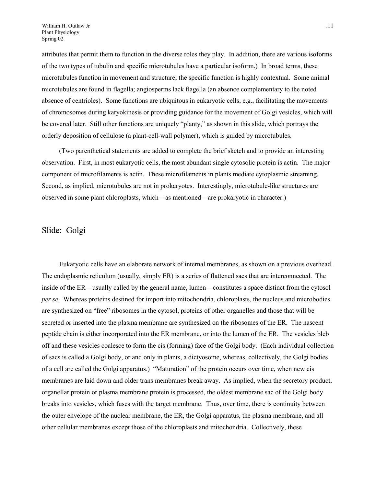attributes that permit them to function in the diverse roles they play. In addition, there are various isoforms of the two types of tubulin and specific microtubules have a particular isoform.) In broad terms, these microtubules function in movement and structure; the specific function is highly contextual. Some animal microtubules are found in flagella; angiosperms lack flagella (an absence complementary to the noted absence of centrioles). Some functions are ubiquitous in eukaryotic cells, e.g., facilitating the movements of chromosomes during karyokinesis or providing guidance for the movement of Golgi vesicles, which will be covered later. Still other functions are uniquely "planty," as shown in this slide, which portrays the orderly deposition of cellulose (a plant-cell-wall polymer), which is guided by microtubules.

(Two parenthetical statements are added to complete the brief sketch and to provide an interesting observation. First, in most eukaryotic cells, the most abundant single cytosolic protein is actin. The major component of microfilaments is actin. These microfilaments in plants mediate cytoplasmic streaming. Second, as implied, microtubules are not in prokaryotes. Interestingly, microtubule-like structures are observed in some plant chloroplasts, which—as mentioned—are prokaryotic in character.)

#### Slide: Golgi

Eukaryotic cells have an elaborate network of internal membranes, as shown on a previous overhead. The endoplasmic reticulum (usually, simply ER) is a series of flattened sacs that are interconnected. The inside of the ER—usually called by the general name, lumen—constitutes a space distinct from the cytosol *per se*. Whereas proteins destined for import into mitochondria, chloroplasts, the nucleus and microbodies are synthesized on "free" ribosomes in the cytosol, proteins of other organelles and those that will be secreted or inserted into the plasma membrane are synthesized on the ribosomes of the ER. The nascent peptide chain is either incorporated into the ER membrane, or into the lumen of the ER. The vesicles bleb off and these vesicles coalesce to form the cis (forming) face of the Golgi body. (Each individual collection of sacs is called a Golgi body, or and only in plants, a dictyosome, whereas, collectively, the Golgi bodies of a cell are called the Golgi apparatus.) "Maturation" of the protein occurs over time, when new cis membranes are laid down and older trans membranes break away. As implied, when the secretory product, organellar protein or plasma membrane protein is processed, the oldest membrane sac of the Golgi body breaks into vesicles, which fuses with the target membrane. Thus, over time, there is continuity between the outer envelope of the nuclear membrane, the ER, the Golgi apparatus, the plasma membrane, and all other cellular membranes except those of the chloroplasts and mitochondria. Collectively, these